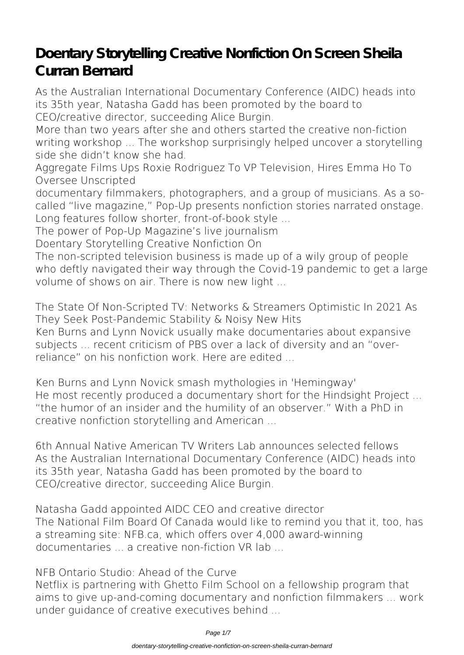# **Doentary Storytelling Creative Nonfiction On Screen Sheila Curran Bernard**

As the Australian International Documentary Conference (AIDC) heads into its 35th year, Natasha Gadd has been promoted by the board to CEO/creative director, succeeding Alice Burgin.

More than two years after she and others started the creative non-fiction writing workshop ... The workshop surprisingly helped uncover a storytelling side she didn't know she had.

**Aggregate Films Ups Roxie Rodriguez To VP Television, Hires Emma Ho To Oversee Unscripted**

documentary filmmakers, photographers, and a group of musicians. As a socalled "live magazine," Pop-Up presents nonfiction stories narrated onstage. Long features follow shorter, front-of-book style ...

**The power of Pop-Up Magazine's live journalism**

**Doentary Storytelling Creative Nonfiction On**

The non-scripted television business is made up of a wily group of people who deftly navigated their way through the Covid-19 pandemic to get a large volume of shows on air. There is now new light ...

**The State Of Non-Scripted TV: Networks & Streamers Optimistic In 2021 As They Seek Post-Pandemic Stability & Noisy New Hits**

Ken Burns and Lynn Novick usually make documentaries about expansive subjects ... recent criticism of PBS over a lack of diversity and an "overreliance" on his nonfiction work. Here are edited ...

**Ken Burns and Lynn Novick smash mythologies in 'Hemingway'** He most recently produced a documentary short for the Hindsight Project ... "the humor of an insider and the humility of an observer." With a PhD in creative nonfiction storytelling and American ...

**6th Annual Native American TV Writers Lab announces selected fellows** As the Australian International Documentary Conference (AIDC) heads into its 35th year, Natasha Gadd has been promoted by the board to CEO/creative director, succeeding Alice Burgin.

**Natasha Gadd appointed AIDC CEO and creative director** The National Film Board Of Canada would like to remind you that it, too, has a streaming site: NFB.ca, which offers over 4,000 award-winning documentaries ... a creative non-fiction VR lab ...

**NFB Ontario Studio: Ahead of the Curve** Netflix is partnering with Ghetto Film School on a fellowship program that aims to give up-and-coming documentary and nonfiction filmmakers ... work under guidance of creative executives behind ...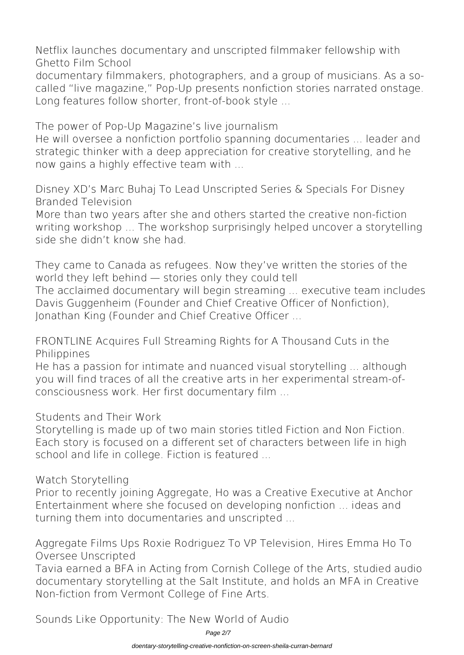**Netflix launches documentary and unscripted filmmaker fellowship with Ghetto Film School**

documentary filmmakers, photographers, and a group of musicians. As a socalled "live magazine," Pop-Up presents nonfiction stories narrated onstage. Long features follow shorter, front-of-book style ...

**The power of Pop-Up Magazine's live journalism**

He will oversee a nonfiction portfolio spanning documentaries ... leader and strategic thinker with a deep appreciation for creative storytelling, and he now gains a highly effective team with ...

**Disney XD's Marc Buhaj To Lead Unscripted Series & Specials For Disney Branded Television**

More than two years after she and others started the creative non-fiction writing workshop ... The workshop surprisingly helped uncover a storytelling side she didn't know she had.

**They came to Canada as refugees. Now they've written the stories of the world they left behind — stories only they could tell** The acclaimed documentary will begin streaming ... executive team includes Davis Guggenheim (Founder and Chief Creative Officer of Nonfiction), Jonathan King (Founder and Chief Creative Officer ...

**FRONTLINE Acquires Full Streaming Rights for A Thousand Cuts in the Philippines**

He has a passion for intimate and nuanced visual storytelling ... although you will find traces of all the creative arts in her experimental stream-ofconsciousness work. Her first documentary film ...

**Students and Their Work**

Storytelling is made up of two main stories titled Fiction and Non Fiction. Each story is focused on a different set of characters between life in high school and life in college. Fiction is featured ...

**Watch Storytelling**

Prior to recently joining Aggregate, Ho was a Creative Executive at Anchor Entertainment where she focused on developing nonfiction ... ideas and turning them into documentaries and unscripted ...

**Aggregate Films Ups Roxie Rodriguez To VP Television, Hires Emma Ho To Oversee Unscripted**

Tavia earned a BFA in Acting from Cornish College of the Arts, studied audio documentary storytelling at the Salt Institute, and holds an MFA in Creative Non-fiction from Vermont College of Fine Arts.

**Sounds Like Opportunity: The New World of Audio**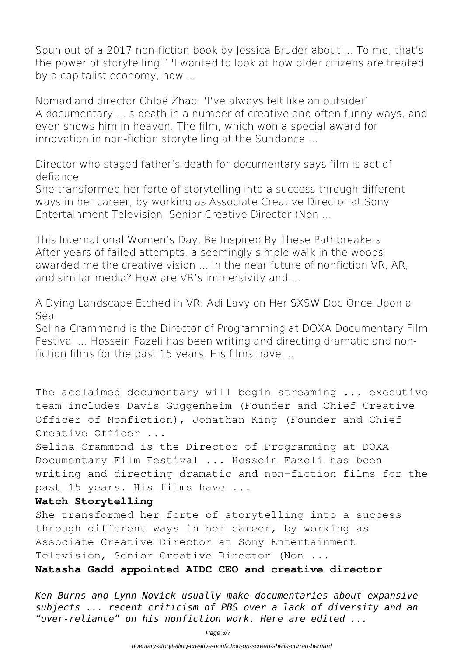Spun out of a 2017 non-fiction book by Jessica Bruder about ... To me, that's the power of storytelling." 'I wanted to look at how older citizens are treated by a capitalist economy, how ...

**Nomadland director Chloé Zhao: 'I've always felt like an outsider'** A documentary ... s death in a number of creative and often funny ways, and even shows him in heaven. The film, which won a special award for innovation in non-fiction storytelling at the Sundance ...

**Director who staged father's death for documentary says film is act of defiance**

She transformed her forte of storytelling into a success through different ways in her career, by working as Associate Creative Director at Sony Entertainment Television, Senior Creative Director (Non ...

**This International Women's Day, Be Inspired By These Pathbreakers** After years of failed attempts, a seemingly simple walk in the woods awarded me the creative vision ... in the near future of nonfiction VR, AR, and similar media? How are VR's immersivity and ...

**A Dying Landscape Etched in VR: Adi Lavy on Her SXSW Doc Once Upon a Sea**

Selina Crammond is the Director of Programming at DOXA Documentary Film Festival ... Hossein Fazeli has been writing and directing dramatic and nonfiction films for the past 15 years. His films have ...

The acclaimed documentary will begin streaming ... executive team includes Davis Guggenheim (Founder and Chief Creative Officer of Nonfiction), Jonathan King (Founder and Chief Creative Officer ...

Selina Crammond is the Director of Programming at DOXA Documentary Film Festival ... Hossein Fazeli has been writing and directing dramatic and non-fiction films for the past 15 years. His films have ...

#### **Watch Storytelling**

She transformed her forte of storytelling into a success through different ways in her career, by working as Associate Creative Director at Sony Entertainment Television, Senior Creative Director (Non ...

#### **Natasha Gadd appointed AIDC CEO and creative director**

*Ken Burns and Lynn Novick usually make documentaries about expansive subjects ... recent criticism of PBS over a lack of diversity and an "over-reliance" on his nonfiction work. Here are edited ...*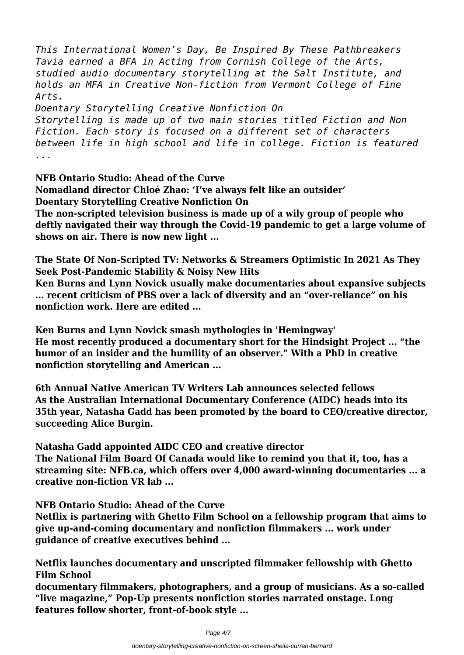*This International Women's Day, Be Inspired By These Pathbreakers Tavia earned a BFA in Acting from Cornish College of the Arts, studied audio documentary storytelling at the Salt Institute, and holds an MFA in Creative Non-fiction from Vermont College of Fine Arts.*

*Doentary Storytelling Creative Nonfiction On*

*Storytelling is made up of two main stories titled Fiction and Non Fiction. Each story is focused on a different set of characters between life in high school and life in college. Fiction is featured ...*

**NFB Ontario Studio: Ahead of the Curve Nomadland director Chloé Zhao: 'I've always felt like an outsider' Doentary Storytelling Creative Nonfiction On**

**The non-scripted television business is made up of a wily group of people who deftly navigated their way through the Covid-19 pandemic to get a large volume of shows on air. There is now new light ...**

**The State Of Non-Scripted TV: Networks & Streamers Optimistic In 2021 As They Seek Post-Pandemic Stability & Noisy New Hits**

**Ken Burns and Lynn Novick usually make documentaries about expansive subjects ... recent criticism of PBS over a lack of diversity and an "over-reliance" on his nonfiction work. Here are edited ...**

**Ken Burns and Lynn Novick smash mythologies in 'Hemingway' He most recently produced a documentary short for the Hindsight Project ... "the humor of an insider and the humility of an observer." With a PhD in creative nonfiction storytelling and American ...**

**6th Annual Native American TV Writers Lab announces selected fellows As the Australian International Documentary Conference (AIDC) heads into its 35th year, Natasha Gadd has been promoted by the board to CEO/creative director, succeeding Alice Burgin.**

**Natasha Gadd appointed AIDC CEO and creative director The National Film Board Of Canada would like to remind you that it, too, has a streaming site: NFB.ca, which offers over 4,000 award-winning documentaries ... a creative non-fiction VR lab ...**

**NFB Ontario Studio: Ahead of the Curve**

**Netflix is partnering with Ghetto Film School on a fellowship program that aims to give up-and-coming documentary and nonfiction filmmakers ... work under guidance of creative executives behind ...**

**Netflix launches documentary and unscripted filmmaker fellowship with Ghetto Film School**

**documentary filmmakers, photographers, and a group of musicians. As a so-called "live magazine," Pop-Up presents nonfiction stories narrated onstage. Long features follow shorter, front-of-book style ...**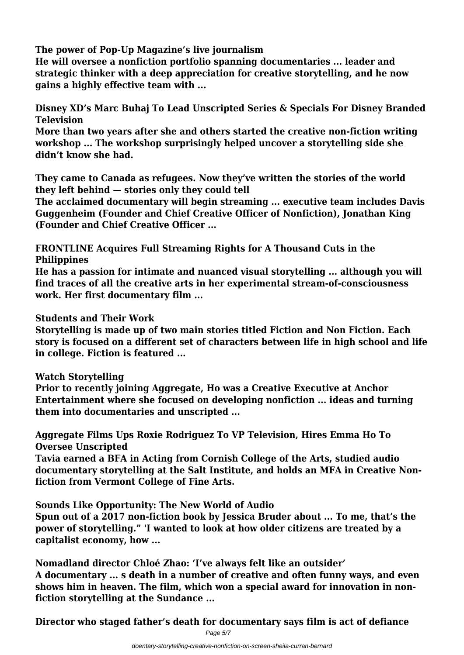**The power of Pop-Up Magazine's live journalism**

**He will oversee a nonfiction portfolio spanning documentaries ... leader and strategic thinker with a deep appreciation for creative storytelling, and he now gains a highly effective team with ...**

**Disney XD's Marc Buhaj To Lead Unscripted Series & Specials For Disney Branded Television**

**More than two years after she and others started the creative non-fiction writing workshop ... The workshop surprisingly helped uncover a storytelling side she didn't know she had.**

**They came to Canada as refugees. Now they've written the stories of the world they left behind — stories only they could tell**

**The acclaimed documentary will begin streaming ... executive team includes Davis Guggenheim (Founder and Chief Creative Officer of Nonfiction), Jonathan King (Founder and Chief Creative Officer ...**

**FRONTLINE Acquires Full Streaming Rights for A Thousand Cuts in the Philippines**

**He has a passion for intimate and nuanced visual storytelling ... although you will find traces of all the creative arts in her experimental stream-of-consciousness work. Her first documentary film ...**

**Students and Their Work**

**Storytelling is made up of two main stories titled Fiction and Non Fiction. Each story is focused on a different set of characters between life in high school and life in college. Fiction is featured ...**

## **Watch Storytelling**

**Prior to recently joining Aggregate, Ho was a Creative Executive at Anchor Entertainment where she focused on developing nonfiction ... ideas and turning them into documentaries and unscripted ...**

**Aggregate Films Ups Roxie Rodriguez To VP Television, Hires Emma Ho To Oversee Unscripted**

**Tavia earned a BFA in Acting from Cornish College of the Arts, studied audio documentary storytelling at the Salt Institute, and holds an MFA in Creative Nonfiction from Vermont College of Fine Arts.**

**Sounds Like Opportunity: The New World of Audio**

**Spun out of a 2017 non-fiction book by Jessica Bruder about ... To me, that's the power of storytelling." 'I wanted to look at how older citizens are treated by a capitalist economy, how ...**

**Nomadland director Chloé Zhao: 'I've always felt like an outsider' A documentary ... s death in a number of creative and often funny ways, and even shows him in heaven. The film, which won a special award for innovation in nonfiction storytelling at the Sundance ...**

**Director who staged father's death for documentary says film is act of defiance**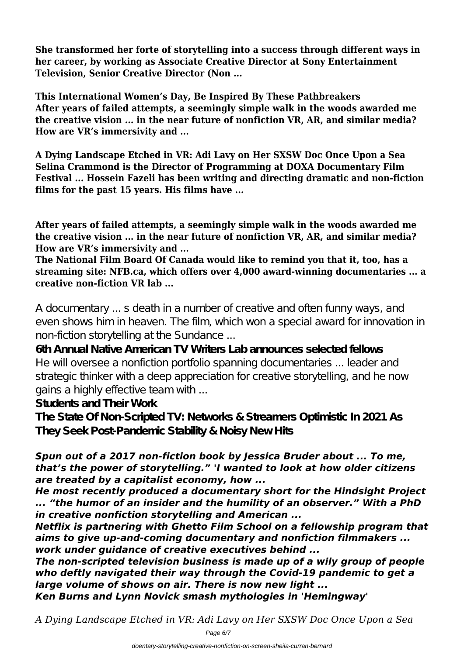**She transformed her forte of storytelling into a success through different ways in her career, by working as Associate Creative Director at Sony Entertainment Television, Senior Creative Director (Non ...**

**This International Women's Day, Be Inspired By These Pathbreakers After years of failed attempts, a seemingly simple walk in the woods awarded me the creative vision ... in the near future of nonfiction VR, AR, and similar media? How are VR's immersivity and ...**

**A Dying Landscape Etched in VR: Adi Lavy on Her SXSW Doc Once Upon a Sea Selina Crammond is the Director of Programming at DOXA Documentary Film Festival ... Hossein Fazeli has been writing and directing dramatic and non-fiction films for the past 15 years. His films have ...**

**After years of failed attempts, a seemingly simple walk in the woods awarded me the creative vision ... in the near future of nonfiction VR, AR, and similar media? How are VR's immersivity and ...**

**The National Film Board Of Canada would like to remind you that it, too, has a streaming site: NFB.ca, which offers over 4,000 award-winning documentaries ... a creative non-fiction VR lab ...**

A documentary ... s death in a number of creative and often funny ways, and even shows him in heaven. The film, which won a special award for innovation in non-fiction storytelling at the Sundance ...

**6th Annual Native American TV Writers Lab announces selected fellows** He will oversee a nonfiction portfolio spanning documentaries ... leader and strategic thinker with a deep appreciation for creative storytelling, and he now gains a highly effective team with ...

**Students and Their Work**

**The State Of Non-Scripted TV: Networks & Streamers Optimistic In 2021 As They Seek Post-Pandemic Stability & Noisy New Hits**

## *Spun out of a 2017 non-fiction book by Jessica Bruder about ... To me, that's the power of storytelling." 'I wanted to look at how older citizens are treated by a capitalist economy, how ...*

*He most recently produced a documentary short for the Hindsight Project ... "the humor of an insider and the humility of an observer." With a PhD in creative nonfiction storytelling and American ...*

*Netflix is partnering with Ghetto Film School on a fellowship program that aims to give up-and-coming documentary and nonfiction filmmakers ... work under guidance of creative executives behind ...*

*The non-scripted television business is made up of a wily group of people who deftly navigated their way through the Covid-19 pandemic to get a large volume of shows on air. There is now new light ... Ken Burns and Lynn Novick smash mythologies in 'Hemingway'*

*A Dying Landscape Etched in VR: Adi Lavy on Her SXSW Doc Once Upon a Sea*